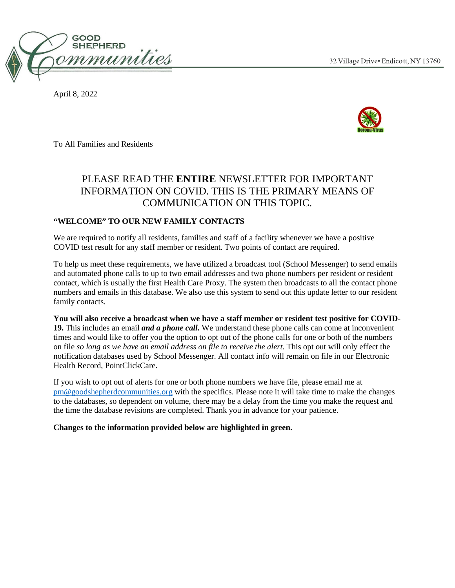

April 8, 2022



To All Families and Residents

# PLEASE READ THE **ENTIRE** NEWSLETTER FOR IMPORTANT INFORMATION ON COVID. THIS IS THE PRIMARY MEANS OF COMMUNICATION ON THIS TOPIC.

# **"WELCOME" TO OUR NEW FAMILY CONTACTS**

We are required to notify all residents, families and staff of a facility whenever we have a positive COVID test result for any staff member or resident. Two points of contact are required.

To help us meet these requirements, we have utilized a broadcast tool (School Messenger) to send emails and automated phone calls to up to two email addresses and two phone numbers per resident or resident contact, which is usually the first Health Care Proxy. The system then broadcasts to all the contact phone numbers and emails in this database. We also use this system to send out this update letter to our resident family contacts.

**You will also receive a broadcast when we have a staff member or resident test positive for COVID-19.** This includes an email *and a phone call***.** We understand these phone calls can come at inconvenient times and would like to offer you the option to opt out of the phone calls for one or both of the numbers on file *so long as we have an email address on file to receive the alert*. This opt out will only effect the notification databases used by School Messenger. All contact info will remain on file in our Electronic Health Record, PointClickCare.

If you wish to opt out of alerts for one or both phone numbers we have file, please email me at [pm@goodshepherdcommunities.org](mailto:pm@goodshepherdcommunities.org) with the specifics. Please note it will take time to make the changes to the databases, so dependent on volume, there may be a delay from the time you make the request and the time the database revisions are completed. Thank you in advance for your patience.

**Changes to the information provided below are highlighted in green.**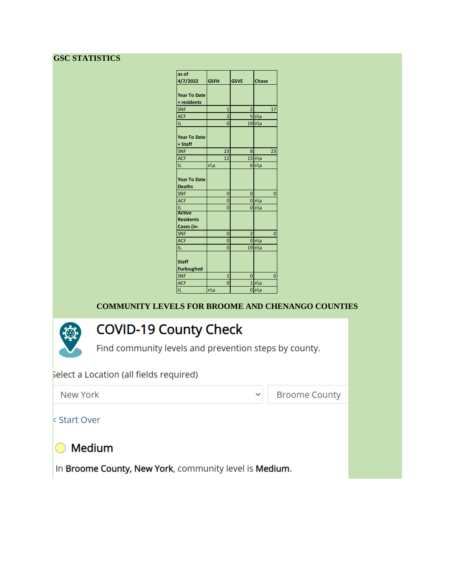# **GSC STATISTICS**

| as of                                |                |                |                 |
|--------------------------------------|----------------|----------------|-----------------|
| 4/7/2022                             | <b>GSFH</b>    | <b>GSVE</b>    | Chase           |
|                                      |                |                |                 |
| <b>Year To Date</b>                  |                |                |                 |
| + residents                          |                |                |                 |
| <b>SNF</b>                           | $\overline{1}$ | 2              | 17              |
| <b>ACF</b>                           | $\overline{2}$ |                | $5 n\rangle a$  |
| IL.                                  | $\overline{0}$ |                | 19 n a          |
| <b>Year To Date</b><br>+ Staff       |                |                |                 |
| <b>SNF</b>                           | 23             | 8              | 23              |
| <b>ACF</b>                           | 12             |                | $15 n\rangle$ a |
| IL                                   | n\a            |                | $6 n\rangle$ a  |
| <b>Year To Date</b><br><b>Deaths</b> |                |                |                 |
| <b>SNF</b>                           | $\overline{0}$ | 0              | 0               |
| <b>ACF</b>                           | $\Omega$       |                | $0 n\rangle$ a  |
| ĪL<br><b>Active</b>                  | $\overline{0}$ |                | 0 n a           |
| <b>Residents</b><br>Cases (in-       |                |                |                 |
| <b>SNF</b>                           | $\overline{0}$ | $\overline{2}$ | 0               |
| <b>ACF</b>                           | $\overline{0}$ |                | $0 n\rangle$ a  |
| IL                                   | $\overline{0}$ |                | $19 n\rangle$ a |
| <b>Staff</b><br><b>Furloughed</b>    |                |                |                 |
| <b>SNF</b>                           | $\overline{1}$ | 0              | 0               |
| <b>ACF</b>                           | $\overline{0}$ |                | 1 n a           |
| IL.                                  | $n\lambda$ a   |                | 0 n a           |

# **COMMUNITY LEVELS FOR BROOME AND CHENANGO COUNTIES**

# **COVID-19 County Check**

Find community levels and prevention steps by county.

# Select a Location (all fields required)



**Broome County** 

 $\checkmark$ 

**k Start Over** 

**Medium** 

In Broome County, New York, community level is Medium.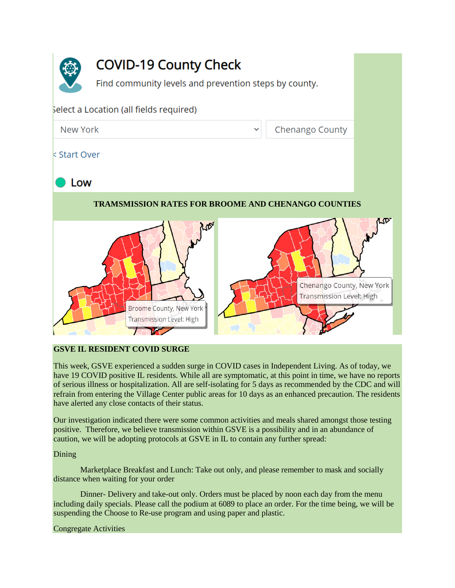

# **COVID-19 County Check**

Find community levels and prevention steps by county.

# Select a Location (all fields required)

**Chenango County** 

# < Start Over

New York

# Low

# **TRAMSMISSION RATES FOR BROOME AND CHENANGO COUNTIES**



# **GSVE IL RESIDENT COVID SURGE**

This week, GSVE experienced a sudden surge in COVID cases in Independent Living. As of today, we have 19 COVID positive IL residents. While all are symptomatic, at this point in time, we have no reports of serious illness or hospitalization. All are self-isolating for 5 days as recommended by the CDC and will refrain from entering the Village Center public areas for 10 days as an enhanced precaution. The residents have alerted any close contacts of their status.

Our investigation indicated there were some common activities and meals shared amongst those testing positive. Therefore, we believe transmission within GSVE is a possibility and in an abundance of caution, we will be adopting protocols at GSVE in IL to contain any further spread:

# Dining

Marketplace Breakfast and Lunch: Take out only, and please remember to mask and socially distance when waiting for your order

Dinner- Delivery and take-out only. Orders must be placed by noon each day from the menu including daily specials. Please call the podium at 6089 to place an order. For the time being, we will be suspending the Choose to Re-use program and using paper and plastic.

# Congregate Activities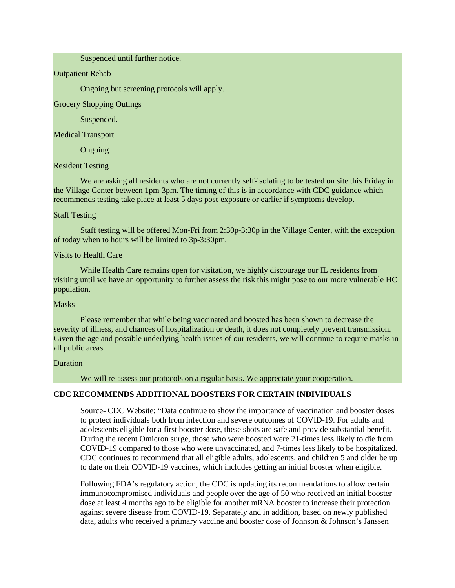#### Suspended until further notice.

#### Outpatient Rehab

Ongoing but screening protocols will apply.

Grocery Shopping Outings

Suspended.

#### Medical Transport

Ongoing

#### Resident Testing

We are asking all residents who are not currently self-isolating to be tested on site this Friday in the Village Center between 1pm-3pm. The timing of this is in accordance with CDC guidance which recommends testing take place at least 5 days post-exposure or earlier if symptoms develop.

#### Staff Testing

Staff testing will be offered Mon-Fri from 2:30p-3:30p in the Village Center, with the exception of today when to hours will be limited to 3p-3:30pm.

#### Visits to Health Care

While Health Care remains open for visitation, we highly discourage our IL residents from visiting until we have an opportunity to further assess the risk this might pose to our more vulnerable HC population.

#### Masks

Please remember that while being vaccinated and boosted has been shown to decrease the severity of illness, and chances of hospitalization or death, it does not completely prevent transmission. Given the age and possible underlying health issues of our residents, we will continue to require masks in all public areas.

#### Duration

We will re-assess our protocols on a regular basis. We appreciate your cooperation.

#### **CDC RECOMMENDS ADDITIONAL BOOSTERS FOR CERTAIN INDIVIDUALS**

Source- CDC Website: "Data continue to show the importance of vaccination and booster doses to protect individuals both from infection and severe outcomes of COVID-19. For adults and adolescents eligible for a first booster dose, these shots are safe and provide substantial benefit. During the recent Omicron surge, those who were boosted were 21-times less likely to die from COVID-19 compared to those who were unvaccinated, and 7-times less likely to be hospitalized. CDC continues to recommend that all eligible adults, adolescents, and children 5 and older be up to date on their COVID-19 vaccines, which includes getting an initial booster when eligible.

Following [FDA's regulatory action,](https://www.fda.gov/news-events/press-announcements/coronavirus-covid-19-update-fda-authorizes-second-booster-dose-two-covid-19-vaccines-older-and) the CDC is updating its recommendations to allow certain immunocompromised individuals and people over the age of 50 who received an initial booster dose at least 4 months ago to be eligible for another mRNA booster to increase their protection against severe disease from COVID-19. Separately and in addition, based on [newly published](https://www.cdc.gov/mmwr/volumes/71/wr/mm7113e2.htm?s_cid=mm7113e2_w)  [data,](https://www.cdc.gov/mmwr/volumes/71/wr/mm7113e2.htm?s_cid=mm7113e2_w) adults who received a primary vaccine and booster dose of Johnson & Johnson's Janssen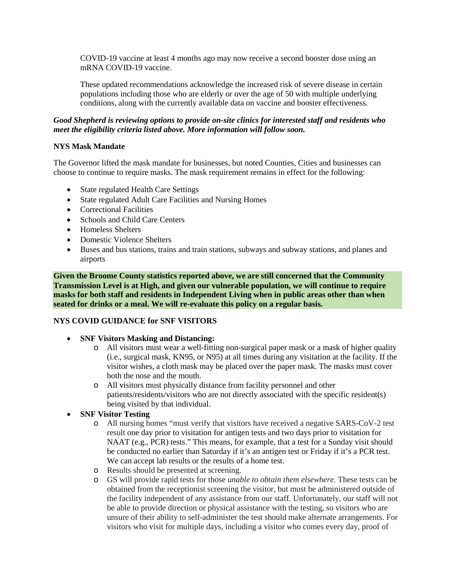COVID-19 vaccine at least 4 months ago may now receive a second booster dose using an mRNA COVID-19 vaccine.

These updated recommendations acknowledge the increased risk of severe disease in certain populations including those who are elderly or over the age of 50 with multiple underlying conditions, along with the currently available data on vaccine and booster effectiveness.

## *Good Shepherd is reviewing options to provide on-site clinics for interested staff and residents who meet the eligibility criteria listed above. More information will follow soon.*

## **NYS Mask Mandate**

The Governor lifted the mask mandate for businesses, but noted Counties, Cities and businesses can choose to continue to require masks. The mask requirement remains in effect for the following:

- State regulated Health Care Settings
- State regulated Adult Care Facilities and Nursing Homes
- Correctional Facilities
- Schools and Child Care Centers
- Homeless Shelters
- Domestic Violence Shelters
- Buses and bus stations, trains and train stations, subways and subway stations, and planes and airports

**Given the Broome County statistics reported above, we are still concerned that the Community Transmission Level is at High, and given our vulnerable population, we will continue to require masks for both staff and residents in Independent Living when in public areas other than when seated for drinks or a meal. We will re-evaluate this policy on a regular basis.**

## **NYS COVID GUIDANCE for SNF VISITORS**

- **SNF Visitors Masking and Distancing:**
	- o All visitors must wear a well-fitting non-surgical paper mask or a mask of higher quality (i.e., surgical mask, KN95, or N95) at all times during any visitation at the facility. If the visitor wishes, a cloth mask may be placed over the paper mask. The masks must cover both the nose and the mouth.
	- o All visitors must physically distance from facility personnel and other patients/residents/visitors who are not directly associated with the specific resident(s) being visited by that individual.
- **SNF Visitor Testing** 
	- o All nursing homes "must verify that visitors have received a negative SARS-CoV-2 test result one day prior to visitation for antigen tests and two days prior to visitation for NAAT (e.g., PCR) tests." This means, for example, that a test for a Sunday visit should be conducted no earlier than Saturday if it's an antigen test or Friday if it's a PCR test. We can accept lab results or the results of a home test.
	- o Results should be presented at screening.
	- o GS will provide rapid tests for those *unable to obtain them elsewhere*. These tests can be obtained from the receptionist screening the visitor, but must be administered outside of the facility independent of any assistance from our staff. Unfortunately, our staff will not be able to provide direction or physical assistance with the testing, so visitors who are unsure of their ability to self-administer the test should make alternate arrangements. For visitors who visit for multiple days, including a visitor who comes every day, proof of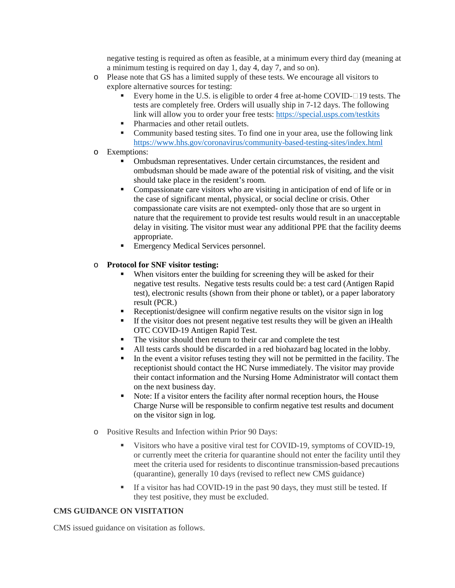negative testing is required as often as feasible, at a minimum every third day (meaning at a minimum testing is required on day 1, day 4, day 7, and so on).

- o Please note that GS has a limited supply of these tests. We encourage all visitors to explore alternative sources for testing:
	- Every home in the U.S. is eligible to order 4 free at-home COVID- $\Box$ 19 tests. The tests are completely free. Orders will usually ship in 7-12 days. The following link will allow you to order your free tests:<https://special.usps.com/testkits>
	- Pharmacies and other retail outlets.
	- Community based testing sites. To find one in your area, use the following link <https://www.hhs.gov/coronavirus/community-based-testing-sites/index.html>
- o Exemptions:
	- Ombudsman representatives. Under certain circumstances, the resident and ombudsman should be made aware of the potential risk of visiting, and the visit should take place in the resident's room.
	- Compassionate care visitors who are visiting in anticipation of end of life or in the case of significant mental, physical, or social decline or crisis. Other compassionate care visits are not exempted- only those that are so urgent in nature that the requirement to provide test results would result in an unacceptable delay in visiting. The visitor must wear any additional PPE that the facility deems appropriate.
	- **Emergency Medical Services personnel.**

## o **Protocol for SNF visitor testing:**

- When visitors enter the building for screening they will be asked for their negative test results. Negative tests results could be: a test card (Antigen Rapid test), electronic results (shown from their phone or tablet), or a paper laboratory result (PCR.)
- Receptionist/designee will confirm negative results on the visitor sign in log
- If the visitor does not present negative test results they will be given an iHealth OTC COVID-19 Antigen Rapid Test.
- The visitor should then return to their car and complete the test
- All tests cards should be discarded in a red biohazard bag located in the lobby.
- In the event a visitor refuses testing they will not be permitted in the facility. The receptionist should contact the HC Nurse immediately. The visitor may provide their contact information and the Nursing Home Administrator will contact them on the next business day.
- Note: If a visitor enters the facility after normal reception hours, the House Charge Nurse will be responsible to confirm negative test results and document on the visitor sign in log.
- o Positive Results and Infection within Prior 90 Days:
	- Visitors who have a positive viral test for COVID-19, symptoms of COVID-19, or currently meet the criteria for quarantine should not enter the facility [until they](https://urldefense.proofpoint.com/v2/url?u=https-3A__www.cdc.gov_coronavirus_2019-2Dncov_hcp_infection-2Dcontrol-2Drecommendations.html-3FCDC-5FAA-5FrefVal-3Dhttps-253A-252F-252Fwww.cdc.gov-252Fcoronavirus-252F2019-2Dncov-252Fhcp-252Finfection-2Dcontrol-2Dafter-2Dvaccination.html-23-3A-7E-3Atext-3DTop-2520of-2520Page-2D-2C2.-2520Recommended-2520infection-2520prevention-2520and-2520control-2520-28IPC-29-2520practices-2520when-2520caring-2520for-2520a-2520patient-2520with-2520suspected-2520or-2520confirmed-2520SARS-2DCoV-2D2-2520infection-2C-2DThe-2520IPC-2520recommendations&d=DwMFAg&c=euGZstcaTDllvimEN8b7jXrwqOf-v5A_CdpgnVfiiMM&r=dVsWmlZe0o8jsH5bN96UVtuYBwRuc3oJFf5U2Fg3vPE&m=mQJBtv61yKahnBH89GbG7VoB2uzUdyUE7ydan4n3wSc&s=npEViLQCjy2lpl9iJiNHINe55R3NMG0S0M1kk1hls-0&e=)  [meet the criteria used for residents to discontinue transmission-based precautions](https://urldefense.proofpoint.com/v2/url?u=https-3A__www.cdc.gov_coronavirus_2019-2Dncov_hcp_infection-2Dcontrol-2Drecommendations.html-3FCDC-5FAA-5FrefVal-3Dhttps-253A-252F-252Fwww.cdc.gov-252Fcoronavirus-252F2019-2Dncov-252Fhcp-252Finfection-2Dcontrol-2Dafter-2Dvaccination.html-23-3A-7E-3Atext-3DTop-2520of-2520Page-2D-2C2.-2520Recommended-2520infection-2520prevention-2520and-2520control-2520-28IPC-29-2520practices-2520when-2520caring-2520for-2520a-2520patient-2520with-2520suspected-2520or-2520confirmed-2520SARS-2DCoV-2D2-2520infection-2C-2DThe-2520IPC-2520recommendations&d=DwMFAg&c=euGZstcaTDllvimEN8b7jXrwqOf-v5A_CdpgnVfiiMM&r=dVsWmlZe0o8jsH5bN96UVtuYBwRuc3oJFf5U2Fg3vPE&m=mQJBtv61yKahnBH89GbG7VoB2uzUdyUE7ydan4n3wSc&s=npEViLQCjy2lpl9iJiNHINe55R3NMG0S0M1kk1hls-0&e=)  [\(quarantine\),](https://urldefense.proofpoint.com/v2/url?u=https-3A__www.cdc.gov_coronavirus_2019-2Dncov_hcp_infection-2Dcontrol-2Drecommendations.html-3FCDC-5FAA-5FrefVal-3Dhttps-253A-252F-252Fwww.cdc.gov-252Fcoronavirus-252F2019-2Dncov-252Fhcp-252Finfection-2Dcontrol-2Dafter-2Dvaccination.html-23-3A-7E-3Atext-3DTop-2520of-2520Page-2D-2C2.-2520Recommended-2520infection-2520prevention-2520and-2520control-2520-28IPC-29-2520practices-2520when-2520caring-2520for-2520a-2520patient-2520with-2520suspected-2520or-2520confirmed-2520SARS-2DCoV-2D2-2520infection-2C-2DThe-2520IPC-2520recommendations&d=DwMFAg&c=euGZstcaTDllvimEN8b7jXrwqOf-v5A_CdpgnVfiiMM&r=dVsWmlZe0o8jsH5bN96UVtuYBwRuc3oJFf5U2Fg3vPE&m=mQJBtv61yKahnBH89GbG7VoB2uzUdyUE7ydan4n3wSc&s=npEViLQCjy2lpl9iJiNHINe55R3NMG0S0M1kk1hls-0&e=) generally 10 days (revised to reflect new CMS guidance)
	- If a visitor has had COVID-19 in the past 90 days, they must still be tested. If they test positive, they must be excluded.

## **CMS GUIDANCE ON VISITATION**

CMS issued guidance on visitation as follows.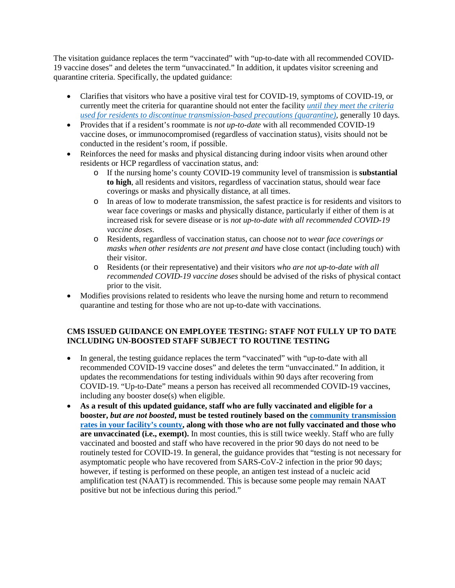The visitation guidance replaces the term "vaccinated" with "up-to-date with all recommended COVID-19 vaccine doses" and deletes the term "unvaccinated." In addition, it updates visitor screening and quarantine criteria. Specifically, the updated guidance:

- Clarifies that visitors who have a positive viral test for COVID-19, symptoms of COVID-19, or currently meet the criteria for quarantine should not enter the facility *[until they meet the criteria](https://urldefense.proofpoint.com/v2/url?u=https-3A__www.cdc.gov_coronavirus_2019-2Dncov_hcp_infection-2Dcontrol-2Drecommendations.html-3FCDC-5FAA-5FrefVal-3Dhttps-253A-252F-252Fwww.cdc.gov-252Fcoronavirus-252F2019-2Dncov-252Fhcp-252Finfection-2Dcontrol-2Dafter-2Dvaccination.html-23-3A-7E-3Atext-3DTop-2520of-2520Page-2D-2C2.-2520Recommended-2520infection-2520prevention-2520and-2520control-2520-28IPC-29-2520practices-2520when-2520caring-2520for-2520a-2520patient-2520with-2520suspected-2520or-2520confirmed-2520SARS-2DCoV-2D2-2520infection-2C-2DThe-2520IPC-2520recommendations&d=DwMFAg&c=euGZstcaTDllvimEN8b7jXrwqOf-v5A_CdpgnVfiiMM&r=dVsWmlZe0o8jsH5bN96UVtuYBwRuc3oJFf5U2Fg3vPE&m=mQJBtv61yKahnBH89GbG7VoB2uzUdyUE7ydan4n3wSc&s=npEViLQCjy2lpl9iJiNHINe55R3NMG0S0M1kk1hls-0&e=)  [used for residents to discontinue transmission-based precautions \(quarantine\),](https://urldefense.proofpoint.com/v2/url?u=https-3A__www.cdc.gov_coronavirus_2019-2Dncov_hcp_infection-2Dcontrol-2Drecommendations.html-3FCDC-5FAA-5FrefVal-3Dhttps-253A-252F-252Fwww.cdc.gov-252Fcoronavirus-252F2019-2Dncov-252Fhcp-252Finfection-2Dcontrol-2Dafter-2Dvaccination.html-23-3A-7E-3Atext-3DTop-2520of-2520Page-2D-2C2.-2520Recommended-2520infection-2520prevention-2520and-2520control-2520-28IPC-29-2520practices-2520when-2520caring-2520for-2520a-2520patient-2520with-2520suspected-2520or-2520confirmed-2520SARS-2DCoV-2D2-2520infection-2C-2DThe-2520IPC-2520recommendations&d=DwMFAg&c=euGZstcaTDllvimEN8b7jXrwqOf-v5A_CdpgnVfiiMM&r=dVsWmlZe0o8jsH5bN96UVtuYBwRuc3oJFf5U2Fg3vPE&m=mQJBtv61yKahnBH89GbG7VoB2uzUdyUE7ydan4n3wSc&s=npEViLQCjy2lpl9iJiNHINe55R3NMG0S0M1kk1hls-0&e=)* generally 10 days*.*
- Provides that if a resident's roommate is *not up-to-date* with all recommended COVID-19 vaccine doses, or immunocompromised (regardless of vaccination status), visits should not be conducted in the resident's room, if possible.
- Reinforces the need for masks and physical distancing during indoor visits when around other residents or HCP regardless of vaccination status, and:
	- o If the nursing home's county COVID-19 community level of transmission is **substantial to high**, all residents and visitors, regardless of vaccination status, should wear face coverings or masks and physically distance, at all times.
	- o In areas of low to moderate transmission, the safest practice is for residents and visitors to wear face coverings or masks and physically distance, particularly if either of them is at increased risk for severe disease or is *not up-to-date with all recommended COVID-19 vaccine doses*.
	- o Residents, regardless of vaccination status, can choose *not* to *wear face coverings or masks when other residents are not present and* have close contact (including touch) with their visitor.
	- o Residents (or their representative) and their visitors *who are not up-to-date with all recommended COVID-19 vaccine doses* should be advised of the risks of physical contact prior to the visit.
- Modifies provisions related to residents who leave the nursing home and return to recommend quarantine and testing for those who are not up-to-date with vaccinations.

# **CMS ISSUED GUIDANCE ON EMPLOYEE TESTING: STAFF NOT FULLY UP TO DATE INCLUDING UN-BOOSTED STAFF SUBJECT TO ROUTINE TESTING**

- In general, the testing guidance replaces the term "vaccinated" with "up-to-date with all recommended COVID-19 vaccine doses" and deletes the term "unvaccinated." In addition, it updates the recommendations for testing individuals within 90 days after recovering from COVID-19. "Up-to-Date" means a person has received all recommended COVID-19 vaccines, including any booster dose(s) when eligible.
- **As a result of this updated guidance, staff who are fully vaccinated and eligible for a booster,** *but are not boosted***, must be tested routinely based on the [community transmission](https://urldefense.proofpoint.com/v2/url?u=https-3A__covid.cdc.gov_covid-2Ddata-2Dtracker_-23county-2Dview-3Flist-5Fselect-5Fstate-3DNew-2BYork-26data-2Dtype-3DRisk&d=DwMFAg&c=euGZstcaTDllvimEN8b7jXrwqOf-v5A_CdpgnVfiiMM&r=dVsWmlZe0o8jsH5bN96UVtuYBwRuc3oJFf5U2Fg3vPE&m=mQJBtv61yKahnBH89GbG7VoB2uzUdyUE7ydan4n3wSc&s=njOhNkIBBiB-88o-mSyUqJyzQr-avCibP9hf9wDVp7Y&e=)  [rates in your facility's county,](https://urldefense.proofpoint.com/v2/url?u=https-3A__covid.cdc.gov_covid-2Ddata-2Dtracker_-23county-2Dview-3Flist-5Fselect-5Fstate-3DNew-2BYork-26data-2Dtype-3DRisk&d=DwMFAg&c=euGZstcaTDllvimEN8b7jXrwqOf-v5A_CdpgnVfiiMM&r=dVsWmlZe0o8jsH5bN96UVtuYBwRuc3oJFf5U2Fg3vPE&m=mQJBtv61yKahnBH89GbG7VoB2uzUdyUE7ydan4n3wSc&s=njOhNkIBBiB-88o-mSyUqJyzQr-avCibP9hf9wDVp7Y&e=) along with those who are not fully vaccinated and those who are unvaccinated (i.e., exempt).** In most counties, this is still twice weekly. Staff who are fully vaccinated and boosted and staff who have recovered in the prior 90 days do not need to be routinely tested for COVID-19. In general, the guidance provides that "testing is not necessary for asymptomatic people who have recovered from SARS-CoV-2 infection in the prior 90 days; however, if testing is performed on these people, an antigen test instead of a nucleic acid amplification test (NAAT) is recommended. This is because some people may remain NAAT positive but not be infectious during this period."